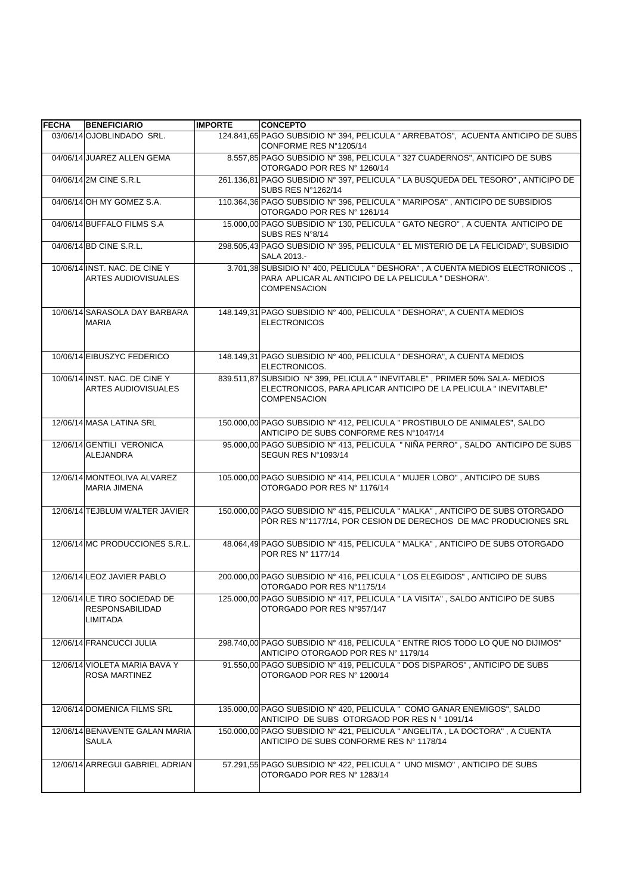| <b>FECHA</b> | <b>BENEFICIARIO</b>                                                | <b>IMPORTE</b> | <b>CONCEPTO</b>                                                                                                                                                        |
|--------------|--------------------------------------------------------------------|----------------|------------------------------------------------------------------------------------------------------------------------------------------------------------------------|
|              | 03/06/14 OJOBLINDADO SRL.                                          |                | 124.841,65 PAGO SUBSIDIO Nº 394, PELICULA " ARREBATOS", ACUENTA ANTICIPO DE SUBS<br>CONFORME RES N°1205/14                                                             |
|              | 04/06/14 JUAREZ ALLEN GEMA                                         |                | 8.557,85 PAGO SUBSIDIO Nº 398, PELICULA " 327 CUADERNOS", ANTICIPO DE SUBS<br>OTORGADO POR RES Nº 1260/14                                                              |
|              | 04/06/14 2M CINE S.R.L                                             |                | 261.136,81 PAGO SUBSIDIO N° 397, PELICULA " LA BUSQUEDA DEL TESORO", ANTICIPO DE<br>SUBS RES N°1262/14                                                                 |
|              | 04/06/14 OH MY GOMEZ S.A.                                          |                | 110.364,36 PAGO SUBSIDIO Nº 396, PELICULA " MARIPOSA", ANTICIPO DE SUBSIDIOS<br>OTORGADO POR RES Nº 1261/14                                                            |
|              | 04/06/14 BUFFALO FILMS S.A                                         |                | 15.000,00 PAGO SUBSIDIO Nº 130, PELICULA " GATO NEGRO", A CUENTA ANTICIPO DE<br>SUBS RES N°8/14                                                                        |
|              | 04/06/14 BD CINE S.R.L.                                            |                | 298.505,43 PAGO SUBSIDIO Nº 395, PELICULA " EL MISTERIO DE LA FELICIDAD", SUBSIDIO<br>SALA 2013.-                                                                      |
|              | 10/06/14 INST. NAC. DE CINE Y<br>ARTES AUDIOVISUALES               |                | 3.701,38 SUBSIDIO Nº 400, PELICULA " DESHORA", A CUENTA MEDIOS ELECTRONICOS.,<br>PARA APLICAR AL ANTICIPO DE LA PELICULA " DESHORA".<br><b>COMPENSACION</b>            |
|              | 10/06/14 SARASOLA DAY BARBARA<br><b>MARIA</b>                      |                | 148.149,31 PAGO SUBSIDIO Nº 400, PELICULA " DESHORA", A CUENTA MEDIOS<br><b>ELECTRONICOS</b>                                                                           |
|              | 10/06/14 EIBUSZYC FEDERICO                                         |                | 148.149,31 PAGO SUBSIDIO N° 400, PELICULA " DESHORA", A CUENTA MEDIOS<br>ELECTRONICOS.                                                                                 |
|              | 10/06/14 INST, NAC, DE CINE Y<br><b>ARTES AUDIOVISUALES</b>        |                | 839.511,87 SUBSIDIO N° 399, PELICULA " INEVITABLE", PRIMER 50% SALA- MEDIOS<br>ELECTRONICOS, PARA APLICAR ANTICIPO DE LA PELICULA " INEVITABLE"<br><b>COMPENSACION</b> |
|              | 12/06/14 MASA LATINA SRL                                           |                | 150.000,00 PAGO SUBSIDIO Nº 412, PELICULA " PROSTIBULO DE ANIMALES", SALDO<br>ANTICIPO DE SUBS CONFORME RES N°1047/14                                                  |
|              | 12/06/14 GENTILI VERONICA<br><b>ALEJANDRA</b>                      |                | 95.000,00 PAGO SUBSIDIO N° 413, PELICULA " NIÑA PERRO", SALDO ANTICIPO DE SUBS<br>SEGUN RES N°1093/14                                                                  |
|              | 12/06/14 MONTEOLIVA ALVAREZ<br><b>MARIA JIMENA</b>                 |                | 105.000,00 PAGO SUBSIDIO N° 414, PELICULA " MUJER LOBO", ANTICIPO DE SUBS<br>OTORGADO POR RES Nº 1176/14                                                               |
|              | 12/06/14 TEJBLUM WALTER JAVIER                                     |                | 150.000,00 PAGO SUBSIDIO N° 415, PELICULA " MALKA", ANTICIPO DE SUBS OTORGADO<br>PÓR RES Nº1177/14, POR CESION DE DERECHOS DE MAC PRODUCIONES SRL                      |
|              | 12/06/14 MC PRODUCCIONES S.R.L.                                    |                | 48.064,49 PAGO SUBSIDIO N° 415, PELICULA " MALKA", ANTICIPO DE SUBS OTORGADO<br>POR RES N° 1177/14                                                                     |
|              | 12/06/14 LEOZ JAVIER PABLO                                         |                | 200.000,00 PAGO SUBSIDIO N° 416, PELICULA " LOS ELEGIDOS", ANTICIPO DE SUBS<br>OTORGADO POR RES Nº1175/14                                                              |
|              | 12/06/14 LE TIRO SOCIEDAD DE<br><b>RESPONSABILIDAD</b><br>LIMITADA |                | 125.000,00 PAGO SUBSIDIO N° 417, PELICULA " LA VISITA" , SALDO ANTICIPO DE SUBS<br>OTORGADO POR RES N°957/147                                                          |
|              | 12/06/14 FRANCUCCI JULIA                                           |                | 298.740,00 PAGO SUBSIDIO N° 418, PELICULA " ENTRE RIOS TODO LO QUE NO DIJIMOS"<br>ANTICIPO OTORGAOD POR RES Nº 1179/14                                                 |
|              | 12/06/14 VIOLETA MARIA BAVA Y<br><b>ROSA MARTINEZ</b>              |                | 91.550,00 PAGO SUBSIDIO Nº 419, PELICULA " DOS DISPAROS", ANTICIPO DE SUBS<br>OTORGAOD POR RES N° 1200/14                                                              |
|              | 12/06/14 DOMENICA FILMS SRL                                        |                | 135.000,00 PAGO SUBSIDIO Nº 420, PELICULA " COMO GANAR ENEMIGOS", SALDO<br>ANTICIPO DE SUBS OTORGAOD POR RES Nº 1091/14                                                |
|              | 12/06/14 BENAVENTE GALAN MARIA<br>SAULA                            |                | 150.000,00 PAGO SUBSIDIO Nº 421, PELICULA " ANGELITA, LA DOCTORA", A CUENTA<br>ANTICIPO DE SUBS CONFORME RES Nº 1178/14                                                |
|              | 12/06/14 ARREGUI GABRIEL ADRIAN                                    |                | 57.291,55 PAGO SUBSIDIO N° 422, PELICULA " UNO MISMO", ANTICIPO DE SUBS<br>OTORGADO POR RES Nº 1283/14                                                                 |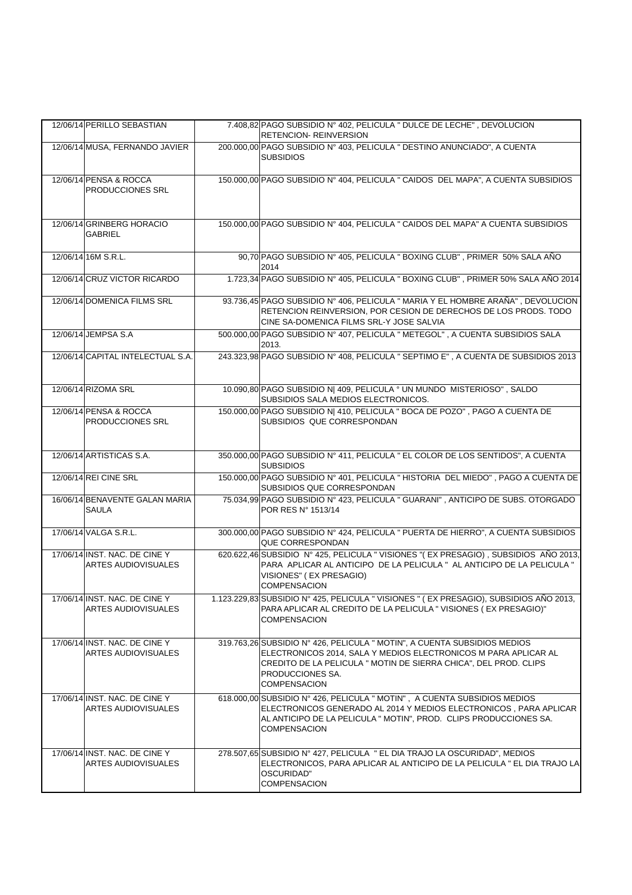| 12/06/14 PERILLO SEBASTIAN                                  | 7.408,82 PAGO SUBSIDIO Nº 402, PELICULA " DULCE DE LECHE", DEVOLUCION<br><b>RETENCION- REINVERSION</b>                                                                                                                                                     |
|-------------------------------------------------------------|------------------------------------------------------------------------------------------------------------------------------------------------------------------------------------------------------------------------------------------------------------|
| 12/06/14 MUSA, FERNANDO JAVIER                              | 200.000,00 PAGO SUBSIDIO Nº 403, PELICULA " DESTINO ANUNCIADO", A CUENTA<br><b>SUBSIDIOS</b>                                                                                                                                                               |
| 12/06/14 PENSA & ROCCA<br><b>PRODUCCIONES SRL</b>           | 150.000,00 PAGO SUBSIDIO Nº 404, PELICULA " CAIDOS DEL MAPA", A CUENTA SUBSIDIOS                                                                                                                                                                           |
| 12/06/14 GRINBERG HORACIO<br><b>GABRIEL</b>                 | 150.000,00 PAGO SUBSIDIO N° 404, PELICULA " CAIDOS DEL MAPA" A CUENTA SUBSIDIOS                                                                                                                                                                            |
| 12/06/14 16M S.R.L.                                         | 90,70 PAGO SUBSIDIO Nº 405, PELICULA " BOXING CLUB", PRIMER 50% SALA AÑO<br>2014                                                                                                                                                                           |
| 12/06/14 CRUZ VICTOR RICARDO                                | 1.723,34 PAGO SUBSIDIO Nº 405, PELICULA " BOXING CLUB", PRIMER 50% SALA AÑO 2014                                                                                                                                                                           |
| 12/06/14 DOMENICA FILMS SRL                                 | 93.736,45 PAGO SUBSIDIO Nº 406, PELICULA " MARIA Y EL HOMBRE ARAÑA", DEVOLUCION<br>RETENCION REINVERSION, POR CESION DE DERECHOS DE LOS PRODS. TODO<br>CINE SA-DOMENICA FILMS SRL-Y JOSE SALVIA                                                            |
| 12/06/14 JEMPSA S.A                                         | 500.000,00 PAGO SUBSIDIO Nº 407, PELICULA " METEGOL", A CUENTA SUBSIDIOS SALA<br>2013.                                                                                                                                                                     |
| 12/06/14 CAPITAL INTELECTUAL S.A.                           | 243.323,98 PAGO SUBSIDIO Nº 408, PELICULA " SEPTIMO E", A CUENTA DE SUBSIDIOS 2013                                                                                                                                                                         |
| 12/06/14 RIZOMA SRL                                         | 10.090,80 PAGO SUBSIDIO N  409, PELICULA ° UN MUNDO MISTERIOSO", SALDO<br>SUBSIDIOS SALA MEDIOS ELECTRONICOS.                                                                                                                                              |
| 12/06/14 PENSA & ROCCA<br>PRODUCCIONES SRL                  | 150.000,00 PAGO SUBSIDIO N  410, PELICULA " BOCA DE POZO", PAGO A CUENTA DE<br>SUBSIDIOS QUE CORRESPONDAN                                                                                                                                                  |
| 12/06/14 ARTISTICAS S.A.                                    | 350.000,00 PAGO SUBSIDIO Nº 411, PELICULA " EL COLOR DE LOS SENTIDOS", A CUENTA<br><b>SUBSIDIOS</b>                                                                                                                                                        |
| 12/06/14 REI CINE SRL                                       | 150.000,00 PAGO SUBSIDIO Nº 401, PELICULA " HISTORIA DEL MIEDO", PAGO A CUENTA DE<br>SUBSIDIOS QUE CORRESPONDAN                                                                                                                                            |
| 16/06/14 BENAVENTE GALAN MARIA<br>SAULA                     | 75.034,99 PAGO SUBSIDIO Nº 423, PELICULA " GUARANI", ANTICIPO DE SUBS. OTORGADO<br>POR RES N° 1513/14                                                                                                                                                      |
| 17/06/14 VALGA S.R.L.                                       | 300.000,00 PAGO SUBSIDIO Nº 424, PELICULA " PUERTA DE HIERRO", A CUENTA SUBSIDIOS<br><b>QUE CORRESPONDAN</b>                                                                                                                                               |
| 17/06/14 INST, NAC, DE CINE Y<br>ARTES AUDIOVISUALES        | 620.622,46 SUBSIDIO Nº 425, PELICULA " VISIONES "(EX PRESAGIO), SUBSIDIOS AÑO 2013,<br>PARA APLICAR AL ANTICIPO DE LA PELICULA " AL ANTICIPO DE LA PELICULA "<br>VISIONES" (EX PRESAGIO)<br><b>COMPENSACION</b>                                            |
| 17/06/14 INST. NAC. DE CINE Y<br><b>ARTES AUDIOVISUALES</b> | 1.123.229,83 SUBSIDIO N° 425, PELICULA " VISIONES " (EX PRESAGIO), SUBSIDIOS AÑO 2013,<br>PARA APLICAR AL CREDITO DE LA PELICULA "VISIONES (EX PRESAGIO)"<br><b>COMPENSACION</b>                                                                           |
| 17/06/14 INST. NAC. DE CINE Y<br>ARTES AUDIOVISUALES        | 319.763,26 SUBSIDIO Nº 426, PELICULA " MOTIN", A CUENTA SUBSIDIOS MEDIOS<br>ELECTRONICOS 2014, SALA Y MEDIOS ELECTRONICOS M PARA APLICAR AL<br>CREDITO DE LA PELICULA " MOTIN DE SIERRA CHICA", DEL PROD. CLIPS<br>PRODUCCIONES SA.<br><b>COMPENSACION</b> |
| 17/06/14 INST. NAC. DE CINE Y<br>ARTES AUDIOVISUALES        | 618.000,00 SUBSIDIO N° 426, PELICULA " MOTIN", A CUENTA SUBSIDIOS MEDIOS<br>ELECTRONICOS GENERADO AL 2014 Y MEDIOS ELECTRONICOS, PARA APLICAR<br>AL ANTICIPO DE LA PELICULA " MOTIN", PROD. CLIPS PRODUCCIONES SA.<br><b>COMPENSACION</b>                  |
| 17/06/14 INST. NAC. DE CINE Y<br>ARTES AUDIOVISUALES        | 278.507,65 SUBSIDIO Nº 427, PELICULA " EL DIA TRAJO LA OSCURIDAD", MEDIOS<br>ELECTRONICOS, PARA APLICAR AL ANTICIPO DE LA PELICULA " EL DIA TRAJO LA<br>OSCURIDAD"<br><b>COMPENSACION</b>                                                                  |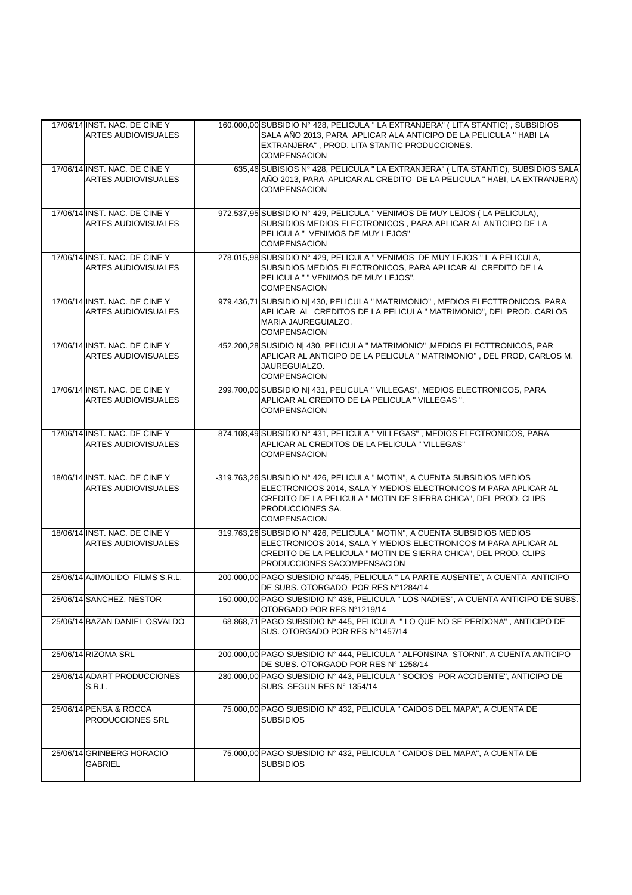| 17/06/14 INST. NAC. DE CINE Y<br><b>ARTES AUDIOVISUALES</b> | 160.000,00 SUBSIDIO N° 428, PELICULA " LA EXTRANJERA" (LITA STANTIC), SUBSIDIOS<br>SALA AÑO 2013, PARA APLICAR ALA ANTICIPO DE LA PELICULA " HABI LA<br>EXTRANJERA", PROD. LITA STANTIC PRODUCCIONES.<br><b>COMPENSACION</b>                                |
|-------------------------------------------------------------|-------------------------------------------------------------------------------------------------------------------------------------------------------------------------------------------------------------------------------------------------------------|
| 17/06/14 INST, NAC, DE CINE Y<br><b>ARTES AUDIOVISUALES</b> | 635,46 SUBISIOS Nº 428, PELICULA " LA EXTRANJERA" (LITA STANTIC), SUBSIDIOS SALA<br>AÑO 2013, PARA APLICAR AL CREDITO DE LA PELICULA "HABI, LA EXTRANJERA)<br><b>COMPENSACION</b>                                                                           |
| 17/06/14 INST. NAC. DE CINE Y<br><b>ARTES AUDIOVISUALES</b> | 972.537,95 SUBSIDIO N° 429, PELICULA " VENIMOS DE MUY LEJOS (LA PELICULA),<br>SUBSIDIOS MEDIOS ELECTRONICOS, PARA APLICAR AL ANTICIPO DE LA<br>PELICULA " VENIMOS DE MUY LEJOS"<br><b>COMPENSACION</b>                                                      |
| 17/06/14 INST. NAC. DE CINE Y<br><b>ARTES AUDIOVISUALES</b> | 278.015,98 SUBSIDIO N° 429, PELICULA " VENIMOS DE MUY LEJOS " L A PELICULA,<br>SUBSIDIOS MEDIOS ELECTRONICOS, PARA APLICAR AL CREDITO DE LA<br>PELICULA " " VENIMOS DE MUY LEJOS".<br><b>COMPENSACION</b>                                                   |
| 17/06/14 INST, NAC, DE CINE Y<br><b>ARTES AUDIOVISUALES</b> | 979.436,71 SUBSIDIO N  430, PELICULA " MATRIMONIO", MEDIOS ELECTTRONICOS, PARA<br>APLICAR AL CREDITOS DE LA PELICULA " MATRIMONIO", DEL PROD. CARLOS<br>MARIA JAUREGUIALZO.<br><b>COMPENSACION</b>                                                          |
| 17/06/14 INST. NAC. DE CINE Y<br><b>ARTES AUDIOVISUALES</b> | 452.200,28 SUSIDIO N  430, PELICULA " MATRIMONIO" , MEDIOS ELECTTRONICOS, PAR<br>APLICAR AL ANTICIPO DE LA PELICULA " MATRIMONIO", DEL PROD, CARLOS M.<br>JAUREGUIALZO.<br><b>COMPENSACION</b>                                                              |
| 17/06/14 INST, NAC, DE CINE Y<br><b>ARTES AUDIOVISUALES</b> | 299.700,00 SUBSIDIO N  431, PELICULA " VILLEGAS", MEDIOS ELECTRONICOS, PARA<br>APLICAR AL CREDITO DE LA PELICULA "VILLEGAS".<br><b>COMPENSACION</b>                                                                                                         |
| 17/06/14 INST, NAC, DE CINE Y<br><b>ARTES AUDIOVISUALES</b> | 874.108,49 SUBSIDIO Nº 431, PELICULA "VILLEGAS", MEDIOS ELECTRONICOS, PARA<br>APLICAR AL CREDITOS DE LA PELICULA "VILLEGAS"<br><b>COMPENSACION</b>                                                                                                          |
| 18/06/14 INST, NAC, DE CINE Y<br><b>ARTES AUDIOVISUALES</b> | -319.763,26 SUBSIDIO Nº 426, PELICULA " MOTIN", A CUENTA SUBSIDIOS MEDIOS<br>ELECTRONICOS 2014, SALA Y MEDIOS ELECTRONICOS M PARA APLICAR AL<br>CREDITO DE LA PELICULA " MOTIN DE SIERRA CHICA", DEL PROD. CLIPS<br>PRODUCCIONES SA.<br><b>COMPENSACION</b> |
| 18/06/14 INST. NAC. DE CINE Y<br><b>ARTES AUDIOVISUALES</b> | 319.763,26 SUBSIDIO Nº 426, PELICULA " MOTIN", A CUENTA SUBSIDIOS MEDIOS<br>ELECTRONICOS 2014. SALA Y MEDIOS ELECTRONICOS M PARA APLICAR AL<br>CREDITO DE LA PELICULA " MOTIN DE SIERRA CHICA", DEL PROD. CLIPS<br>PRODUCCIONES SACOMPENSACION              |
| 25/06/14 AJIMOLIDO FILMS S.R.L.                             | 200.000,00 PAGO SUBSIDIO N°445, PELICULA " LA PARTE AUSENTE", A CUENTA ANTICIPO<br>DE SUBS. OTORGADO POR RES Nº1284/14                                                                                                                                      |
| 25/06/14 SANCHEZ, NESTOR                                    | 150.000,00 PAGO SUBSIDIO Nº 438, PELICULA " LOS NADIES", A CUENTA ANTICIPO DE SUBS.<br>OTORGADO POR RES Nº1219/14                                                                                                                                           |
| 25/06/14 BAZAN DANIEL OSVALDO                               | 68.868,71 PAGO SUBSIDIO N° 445, PELICULA " LO QUE NO SE PERDONA", ANTICIPO DE<br>SUS. OTORGADO POR RES Nº1457/14                                                                                                                                            |
| 25/06/14 RIZOMA SRL                                         | 200.000,00 PAGO SUBSIDIO Nº 444, PELICULA " ALFONSINA STORNI", A CUENTA ANTICIPO<br>DE SUBS. OTORGAOD POR RES Nº 1258/14                                                                                                                                    |
| 25/06/14 ADART PRODUCCIONES<br>S.R.L.                       | 280.000,00 PAGO SUBSIDIO Nº 443, PELICULA " SOCIOS POR ACCIDENTE", ANTICIPO DE<br>SUBS. SEGUN RES Nº 1354/14                                                                                                                                                |
| 25/06/14 PENSA & ROCCA<br>PRODUCCIONES SRL                  | 75.000,00 PAGO SUBSIDIO N° 432, PELICULA " CAIDOS DEL MAPA", A CUENTA DE<br><b>SUBSIDIOS</b>                                                                                                                                                                |
| 25/06/14 GRINBERG HORACIO<br><b>GABRIEL</b>                 | 75.000,00 PAGO SUBSIDIO N° 432, PELICULA " CAIDOS DEL MAPA", A CUENTA DE<br><b>SUBSIDIOS</b>                                                                                                                                                                |